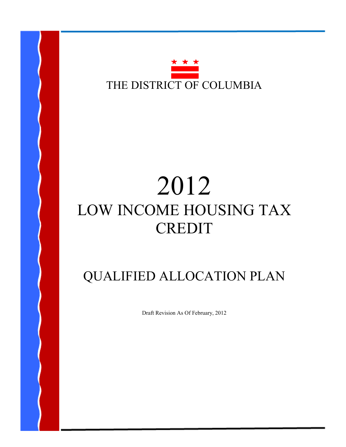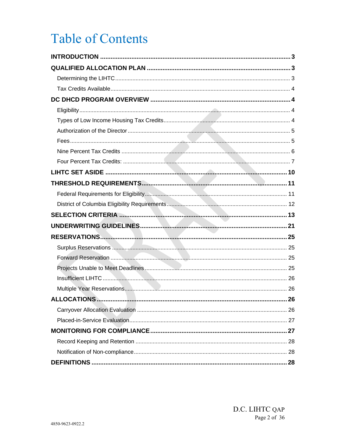# **Table of Contents**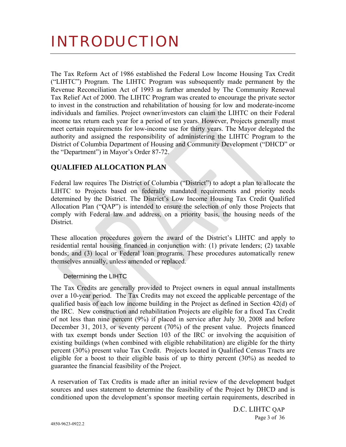# INTRODUCTION

The Tax Reform Act of 1986 established the Federal Low Income Housing Tax Credit ("LIHTC") Program. The LIHTC Program was subsequently made permanent by the Revenue Reconciliation Act of 1993 as further amended by The Community Renewal Tax Relief Act of 2000. The LIHTC Program was created to encourage the private sector to invest in the construction and rehabilitation of housing for low and moderate-income individuals and families. Project owner/investors can claim the LIHTC on their Federal income tax return each year for a period of ten years. However, Projects generally must meet certain requirements for low-income use for thirty years. The Mayor delegated the authority and assigned the responsibility of administering the LIHTC Program to the District of Columbia Department of Housing and Community Development ("DHCD" or the "Department") in Mayor's Order 87-72.

# **QUALIFIED ALLOCATION PLAN**

Federal law requires The District of Columbia ("District") to adopt a plan to allocate the LIHTC to Projects based on federally mandated requirements and priority needs determined by the District. The District's Low Income Housing Tax Credit Qualified Allocation Plan ("QAP") is intended to ensure the selection of only those Projects that comply with Federal law and address, on a priority basis, the housing needs of the **District** 

These allocation procedures govern the award of the District's LIHTC and apply to residential rental housing financed in conjunction with: (1) private lenders; (2) taxable bonds; and (3) local or Federal loan programs. These procedures automatically renew themselves annually, unless amended or replaced.

# Determining the LIHTC

The Tax Credits are generally provided to Project owners in equal annual installments over a 10-year period. The Tax Credits may not exceed the applicable percentage of the qualified basis of each low income building in the Project as defined in Section 42(d) of the IRC. New construction and rehabilitation Projects are eligible for a fixed Tax Credit of not less than nine percent (9%) if placed in service after July 30, 2008 and before December 31, 2013, or seventy percent (70%) of the present value. Projects financed with tax exempt bonds under Section 103 of the IRC or involving the acquisition of existing buildings (when combined with eligible rehabilitation) are eligible for the thirty percent (30%) present value Tax Credit. Projects located in Qualified Census Tracts are eligible for a boost to their eligible basis of up to thirty percent (30%) as needed to guarantee the financial feasibility of the Project.

A reservation of Tax Credits is made after an initial review of the development budget sources and uses statement to determine the feasibility of the Project by DHCD and is conditioned upon the development's sponsor meeting certain requirements, described in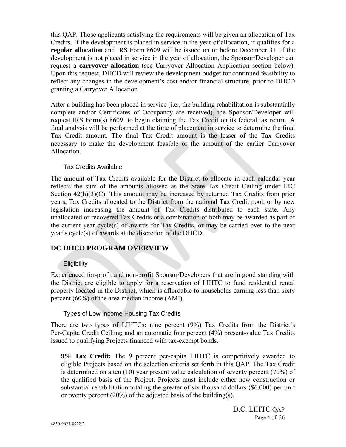this QAP. Those applicants satisfying the requirements will be given an allocation of Tax Credits. If the development is placed in service in the year of allocation, it qualifies for a **regular allocation** and IRS Form 8609 will be issued on or before December 31. If the development is not placed in service in the year of allocation, the Sponsor/Developer can request a **carryover allocation** (see Carryover Allocation Application section below). Upon this request, DHCD will review the development budget for continued feasibility to reflect any changes in the development's cost and/or financial structure, prior to DHCD granting a Carryover Allocation.

After a building has been placed in service (i.e., the building rehabilitation is substantially complete and/or Certificates of Occupancy are received), the Sponsor/Developer will request IRS Form(s) 8609 to begin claiming the Tax Credit on its federal tax return. A final analysis will be performed at the time of placement in service to determine the final Tax Credit amount. The final Tax Credit amount is the lesser of the Tax Credits necessary to make the development feasible or the amount of the earlier Carryover Allocation.

# Tax Credits Available

The amount of Tax Credits available for the District to allocate in each calendar year reflects the sum of the amounts allowed as the State Tax Credit Ceiling under IRC Section  $42(h)(3)(C)$ . This amount may be increased by returned Tax Credits from prior years, Tax Credits allocated to the District from the national Tax Credit pool, or by new legislation increasing the amount of Tax Credits distributed to each state. Any unallocated or recovered Tax Credits or a combination of both may be awarded as part of the current year cycle(s) of awards for Tax Credits, or may be carried over to the next year's cycle(s) of awards at the discretion of the DHCD.

# **DC DHCD PROGRAM OVERVIEW**

# **Eligibility**

Experienced for-profit and non-profit Sponsor/Developers that are in good standing with the District are eligible to apply for a reservation of LIHTC to fund residential rental property located in the District, which is affordable to households earning less than sixty percent (60%) of the area median income (AMI).

# Types of Low Income Housing Tax Credits

There are two types of LIHTCs: nine percent (9%) Tax Credits from the District's Per-Capita Credit Ceiling; and an automatic four percent (4%) present-value Tax Credits issued to qualifying Projects financed with tax-exempt bonds.

**9% Tax Credit:** The 9 percent per-capita LIHTC is competitively awarded to eligible Projects based on the selection criteria set forth in this QAP. The Tax Credit is determined on a ten (10) year present value calculation of seventy percent (70%) of the qualified basis of the Project. Projects must include either new construction or substantial rehabilitation totaling the greater of six thousand dollars (\$6,000) per unit or twenty percent  $(20\%)$  of the adjusted basis of the building(s).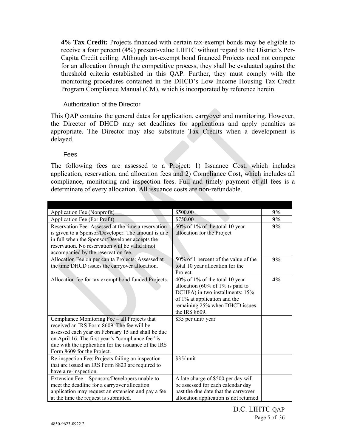**4% Tax Credit:** Projects financed with certain tax-exempt bonds may be eligible to receive a four percent (4%) present-value LIHTC without regard to the District's Per-Capita Credit ceiling. Although tax-exempt bond financed Projects need not compete for an allocation through the competitive process, they shall be evaluated against the threshold criteria established in this QAP. Further, they must comply with the monitoring procedures contained in the DHCD's Low Income Housing Tax Credit Program Compliance Manual (CM), which is incorporated by reference herein.

# Authorization of the Director

This QAP contains the general dates for application, carryover and monitoring. However, the Director of DHCD may set deadlines for applications and apply penalties as appropriate. The Director may also substitute Tax Credits when a development is delayed.

# Fees

The following fees are assessed to a Project: 1) Issuance Cost, which includes application, reservation, and allocation fees and 2) Compliance Cost, which includes all compliance, monitoring and inspection fees. Full and timely payment of all fees is a determinate of every allocation. All issuance costs are non-refundable.

| Application Fee (Nonprofit)                                                                          | \$500.00                                                     | 9% |
|------------------------------------------------------------------------------------------------------|--------------------------------------------------------------|----|
| Application Fee (For Profit)                                                                         | \$750.00                                                     | 9% |
| Reservation Fee: Assessed at the time a reservation                                                  | 50% of 1% of the total 10 year<br>allocation for the Project | 9% |
| is given to a Sponsor/Developer. The amount is due<br>in full when the Sponsor/Developer accepts the |                                                              |    |
| reservation. No reservation will be valid if not                                                     |                                                              |    |
| accompanied by the reservation fee.                                                                  |                                                              |    |
| Allocation Fee on per capita Projects: Assessed at                                                   | 50% of 1 percent of the value of the                         | 9% |
| the time DHCD issues the carryover allocation.                                                       | total 10 year allocation for the                             |    |
|                                                                                                      | Project.                                                     |    |
| Allocation fee for tax exempt bond funded Projects.                                                  | 40% of 1% of the total 10 year                               | 4% |
|                                                                                                      | allocation (60% of 1% is paid to                             |    |
|                                                                                                      | DCHFA) in two installments: 15%                              |    |
|                                                                                                      | of 1% at application and the                                 |    |
|                                                                                                      | remaining 25% when DHCD issues                               |    |
|                                                                                                      | the IRS 8609.                                                |    |
| Compliance Monitoring Fee - all Projects that<br>received an IRS Form 8609. The fee will be          | \$35 per unit/ year                                          |    |
| assessed each year on February 15 and shall be due                                                   |                                                              |    |
| on April 16. The first year's "compliance fee" is                                                    |                                                              |    |
| due with the application for the issuance of the IRS                                                 |                                                              |    |
| Form 8609 for the Project.                                                                           |                                                              |    |
| Re-inspection Fee: Projects failing an inspection                                                    | \$35/ unit                                                   |    |
| that are issued an IRS Form 8823 are required to                                                     |                                                              |    |
| have a re-inspection.                                                                                |                                                              |    |
| Extension Fee – Sponsors/Developers unable to                                                        | A late charge of \$500 per day will                          |    |
| meet the deadline for a carryover allocation                                                         | be assessed for each calendar day                            |    |
| application may request an extension and pay a fee                                                   | past the due date that the carryover                         |    |
| at the time the request is submitted.                                                                | allocation application is not returned                       |    |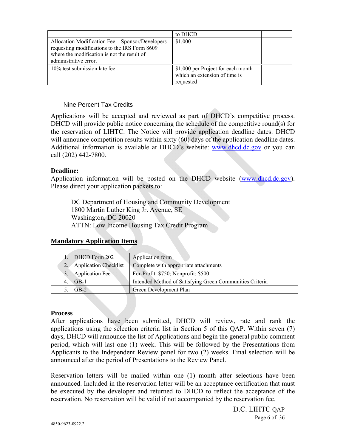|                                                                                                                                                                           | to DHCD                                                                          |  |
|---------------------------------------------------------------------------------------------------------------------------------------------------------------------------|----------------------------------------------------------------------------------|--|
| Allocation Modification Fee – Sponsor/Developers<br>requesting modifications to the IRS Form 8609<br>where the modification is not the result of<br>administrative error. | \$1,000                                                                          |  |
| 10% test submission late fee                                                                                                                                              | \$1,000 per Project for each month<br>which an extension of time is<br>requested |  |

# Nine Percent Tax Credits

Applications will be accepted and reviewed as part of DHCD's competitive process. DHCD will provide public notice concerning the schedule of the competitive round(s) for the reservation of LIHTC. The Notice will provide application deadline dates. DHCD will announce competition results within sixty (60) days of the application deadline dates. Additional information is available at DHCD's website: www.dhcd.dc.gov or you can call (202) 442-7800.

# **Deadline:**

Application information will be posted on the DHCD website (www.dhcd.dc.gov). Please direct your application packets to:

DC Department of Housing and Community Development 1800 Martin Luther King Jr. Avenue, SE Washington, DC 20020 ATTN: Low Income Housing Tax Credit Program

# **Mandatory Application Items**

| DHCD Form 202                                                               | Application form                                         |  |
|-----------------------------------------------------------------------------|----------------------------------------------------------|--|
| Complete with appropriate attachments<br><b>Application Checklist</b><br>2. |                                                          |  |
| Application Fee                                                             | For-Profit: \$750; Nonprofit: \$500                      |  |
| $GB-1$<br>4.                                                                | Intended Method of Satisfying Green Communities Criteria |  |
| $GB-2$                                                                      | Green Development Plan                                   |  |

# **Process**

After applications have been submitted, DHCD will review, rate and rank the applications using the selection criteria list in Section 5 of this QAP. Within seven (7) days, DHCD will announce the list of Applications and begin the general public comment period, which will last one (1) week. This will be followed by the Presentations from Applicants to the Independent Review panel for two (2) weeks. Final selection will be announced after the period of Presentations to the Review Panel.

Reservation letters will be mailed within one (1) month after selections have been announced. Included in the reservation letter will be an acceptance certification that must be executed by the developer and returned to DHCD to reflect the acceptance of the reservation. No reservation will be valid if not accompanied by the reservation fee.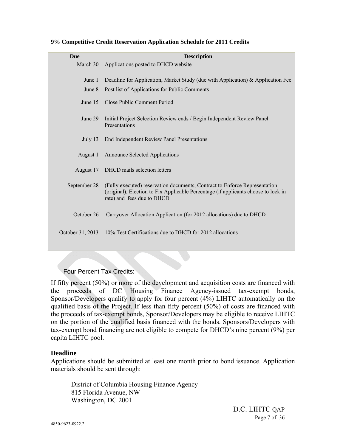| <b>Due</b>       | <b>Description</b>                                                                                                                                                                             |  |  |  |
|------------------|------------------------------------------------------------------------------------------------------------------------------------------------------------------------------------------------|--|--|--|
| March 30         | Applications posted to DHCD website                                                                                                                                                            |  |  |  |
| June 1           | Deadline for Application, Market Study (due with Application) & Application Fee                                                                                                                |  |  |  |
| June 8           | Post list of Applications for Public Comments                                                                                                                                                  |  |  |  |
| June 15          | Close Public Comment Period                                                                                                                                                                    |  |  |  |
| June 29          | Initial Project Selection Review ends / Begin Independent Review Panel<br>Presentations                                                                                                        |  |  |  |
| July $13$        | End Independent Review Panel Presentations                                                                                                                                                     |  |  |  |
| August 1         | <b>Announce Selected Applications</b>                                                                                                                                                          |  |  |  |
| August 17        | DHCD mails selection letters                                                                                                                                                                   |  |  |  |
| September 28     | (Fully executed) reservation documents, Contract to Enforce Representation<br>(original), Election to Fix Applicable Percentage (if applicants choose to lock in<br>rate) and fees due to DHCD |  |  |  |
| October 26       | Carryover Allocation Application (for 2012 allocations) due to DHCD                                                                                                                            |  |  |  |
| October 31, 2013 | 10% Test Certifications due to DHCD for 2012 allocations                                                                                                                                       |  |  |  |

#### **9% Competitive Credit Reservation Application Schedule for 2011 Credits**

Four Percent Tax Credits:

If fifty percent (50%) or more of the development and acquisition costs are financed with the proceeds of DC Housing Finance Agency-issued tax-exempt bonds, Sponsor/Developers qualify to apply for four percent (4%) LIHTC automatically on the qualified basis of the Project. If less than fifty percent (50%) of costs are financed with the proceeds of tax-exempt bonds, Sponsor/Developers may be eligible to receive LIHTC on the portion of the qualified basis financed with the bonds. Sponsors/Developers with tax-exempt bond financing are not eligible to compete for DHCD's nine percent (9%) per capita LIHTC pool.

# **Deadline**

Applications should be submitted at least one month prior to bond issuance. Application materials should be sent through:

District of Columbia Housing Finance Agency 815 Florida Avenue, NW Washington, DC 2001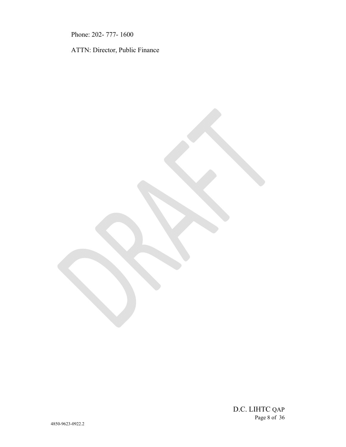Phone: 202- 777- 1600

ATTN: Director, Public Finance

D.C. LIHTC QAP Page 8 of 36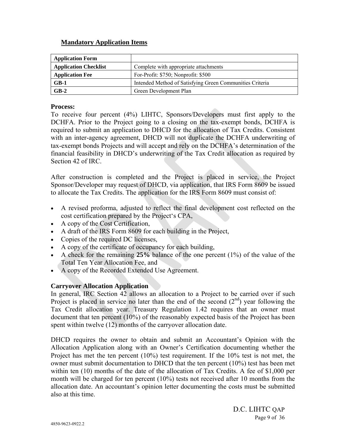# **Mandatory Application Items**

| <b>Application Form</b>      |                                                          |
|------------------------------|----------------------------------------------------------|
| <b>Application Checklist</b> | Complete with appropriate attachments                    |
| <b>Application Fee</b>       | For-Profit: \$750; Nonprofit: \$500                      |
| $GB-1$                       | Intended Method of Satisfying Green Communities Criteria |
| $GB-2$                       | Green Development Plan                                   |

#### **Process:**

To receive four percent (4%) LIHTC, Sponsors/Developers must first apply to the DCHFA. Prior to the Project going to a closing on the tax-exempt bonds, DCHFA is required to submit an application to DHCD for the allocation of Tax Credits. Consistent with an inter-agency agreement, DHCD will not duplicate the DCHFA underwriting of tax-exempt bonds Projects and will accept and rely on the DCHFA's determination of the financial feasibility in DHCD's underwriting of the Tax Credit allocation as required by Section 42 of IRC.

After construction is completed and the Project is placed in service, the Project Sponsor/Developer may request of DHCD, via application, that IRS Form 8609 be issued to allocate the Tax Credits. The application for the IRS Form 8609 must consist of:

- A revised proforma, adjusted to reflect the final development cost reflected on the cost certification prepared by the Project's CPA,
- A copy of the Cost Certification,
- A draft of the IRS Form 8609 for each building in the Project,
- Copies of the required DC licenses,
- A copy of the certificate of occupancy for each building,
- A check for the remaining **25%** balance of the one percent (1%) of the value of the Total Ten Year Allocation Fee, and
- A copy of the Recorded Extended Use Agreement.

# **Carryover Allocation Application**

In general, IRC Section 42 allows an allocation to a Project to be carried over if such Project is placed in service no later than the end of the second  $(2<sup>nd</sup>)$  year following the Tax Credit allocation year. Treasury Regulation 1.42 requires that an owner must document that ten percent (10%) of the reasonably expected basis of the Project has been spent within twelve (12) months of the carryover allocation date.

DHCD requires the owner to obtain and submit an Accountant's Opinion with the Allocation Application along with an Owner's Certification documenting whether the Project has met the ten percent  $(10\%)$  test requirement. If the  $10\%$  test is not met, the owner must submit documentation to DHCD that the ten percent (10%) test has been met within ten (10) months of the date of the allocation of Tax Credits. A fee of \$1,000 per month will be charged for ten percent (10%) tests not received after 10 months from the allocation date. An accountant's opinion letter documenting the costs must be submitted also at this time.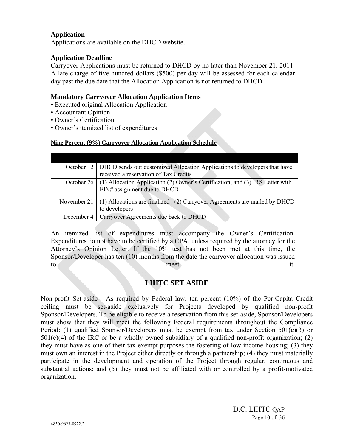# **Application**

Applications are available on the DHCD website.

# **Application Deadline**

Carryover Applications must be returned to DHCD by no later than November 21, 2011. A late charge of five hundred dollars (\$500) per day will be assessed for each calendar day past the due date that the Allocation Application is not returned to DHCD.

# **Mandatory Carryover Allocation Application Items**

- Executed original Allocation Application
- Accountant Opinion
- Owner's Certification
- Owner's itemized list of expenditures

# **Nine Percent (9%) Carryover Allocation Application Schedule**

| October 12   DHCD sends out customized Allocation Applications to developers that have                                    |
|---------------------------------------------------------------------------------------------------------------------------|
| received a reservation of Tax Credits                                                                                     |
| October 26   (1) Allocation Application (2) Owner's Certification; and (3) IRS Letter with<br>EIN# assignment due to DHCD |
| November 21 $(1)$ Allocations are finalized; (2) Carryover Agreements are mailed by DHCD<br>to developers                 |
| December 4   Carryover Agreements due back to DHCD                                                                        |

An itemized list of expenditures must accompany the Owner's Certification. Expenditures do not have to be certified by a CPA, unless required by the attorney for the Attorney's Opinion Letter. If the 10% test has not been met at this time, the Sponsor/Developer has ten (10) months from the date the carryover allocation was issued to meet it.

# **LIHTC SET ASIDE**

Non-profit Set-aside - As required by Federal law, ten percent (10%) of the Per-Capita Credit ceiling must be set-aside exclusively for Projects developed by qualified non-profit Sponsor/Developers. To be eligible to receive a reservation from this set-aside, Sponsor/Developers must show that they will meet the following Federal requirements throughout the Compliance Period: (1) qualified Sponsor/Developers must be exempt from tax under Section 501(c)(3) or  $501(c)(4)$  of the IRC or be a wholly owned subsidiary of a qualified non-profit organization; (2) they must have as one of their tax-exempt purposes the fostering of low income housing; (3) they must own an interest in the Project either directly or through a partnership; (4) they must materially participate in the development and operation of the Project through regular, continuous and substantial actions; and (5) they must not be affiliated with or controlled by a profit-motivated organization.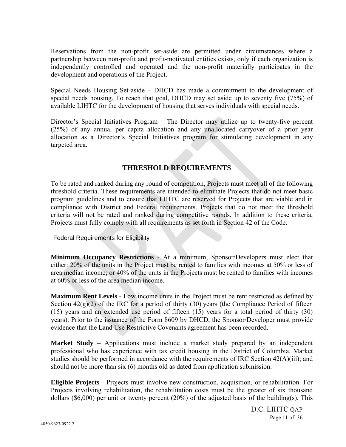Reservations from the non-profit set-aside are permitted under circumstances where a partnership between non-profit and profit-motivated entities exists, only if each organization is independently controlled and operated and the non-profit materially participates in the development and operations of the Project.

Special Needs Housing Set-aside – DHCD has made a commitment to the development of special needs housing. To reach that goal, DHCD may set aside up to seventy five (75%) of available LIHTC for the development of housing that serves individuals with special needs.

Director's Special Initiatives Program – The Director may utilize up to twenty-five percent (25%) of any annual per capita allocation and any unallocated carryover of a prior year allocation as a Director's Special Initiatives program for stimulating development in any targeted area.

# **THRESHOLD REQUIREMENTS**

To be rated and ranked during any round of competition, Projects must meet all of the following threshold criteria. These requirements are intended to eliminate Projects that do not meet basic program guidelines and to ensure that LIHTC are reserved for Projects that are viable and in compliance with District and Federal requirements. Projects that do not meet the threshold criteria will not be rated and ranked during competitive rounds. In addition to these criteria, Projects must fully comply with all requirements as set forth in Section 42 of the Code.

Federal Requirements for Eligibility

**Minimum Occupancy Restrictions** - At a minimum, Sponsor/Developers must elect that either: 20% of the units in the Project must be rented to families with incomes at 50% or less of area median income; or 40% of the units in the Projects must be rented to families with incomes at 60% or less of the area median income.

**Maximum Rent Levels** - Low income units in the Project must be rent restricted as defined by Section  $42(g)(2)$  of the IRC for a period of thirty (30) years (the Compliance Period of fifteen (15) years and an extended use period of fifteen (15) years for a total period of thirty (30) years). Prior to the issuance of the Form 8609 by DHCD, the Sponsor/Developer must provide evidence that the Land Use Restrictive Covenants agreement has been recorded.

**Market Study** – Applications must include a market study prepared by an independent professional who has experience with tax credit housing in the District of Columbia. Market studies should be performed in accordance with the requirements of IRC Section 42(A)(iii); and should not be more than six (6) months old as dated from application submission.

**Eligible Projects** - Projects must involve new construction, acquisition, or rehabilitation. For Projects involving rehabilitation, the rehabilitation costs must be the greater of six thousand dollars (\$6,000) per unit or twenty percent (20%) of the adjusted basis of the building(s). This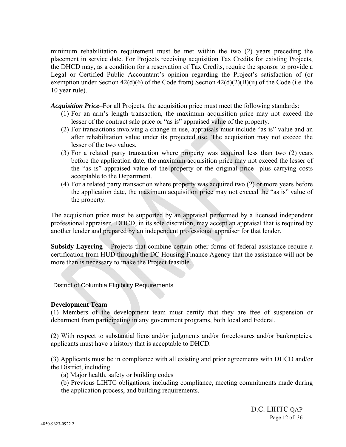minimum rehabilitation requirement must be met within the two (2) years preceding the placement in service date. For Projects receiving acquisition Tax Credits for existing Projects, the DHCD may, as a condition for a reservation of Tax Credits, require the sponsor to provide a Legal or Certified Public Accountant's opinion regarding the Project's satisfaction of (or exemption under Section 42(d)(6) of the Code from) Section 42(d)(2)(B)(ii) of the Code (i.e. the 10 year rule).

*Acquisition Price–*For all Projects, the acquisition price must meet the following standards:

- (1) For an arm's length transaction, the maximum acquisition price may not exceed the lesser of the contract sale price or "as is" appraised value of the property.
- (2) For transactions involving a change in use, appraisals must include "as is" value and an after rehabilitation value under its projected use. The acquisition may not exceed the lesser of the two values.
- (3) For a related party transaction where property was acquired less than two (2) years before the application date, the maximum acquisition price may not exceed the lesser of the "as is" appraised value of the property or the original price plus carrying costs acceptable to the Department.
- (4) For a related party transaction where property was acquired two (2) or more years before the application date, the maximum acquisition price may not exceed the "as is" value of the property.

The acquisition price must be supported by an appraisal performed by a licensed independent professional appraiser. DHCD, in its sole discretion, may accept an appraisal that is required by another lender and prepared by an independent professional appraiser for that lender.

**Subsidy Layering** – Projects that combine certain other forms of federal assistance require a certification from HUD through the DC Housing Finance Agency that the assistance will not be more than is necessary to make the Project feasible.

District of Columbia Eligibility Requirements

# **Development Team** –

(1) Members of the development team must certify that they are free of suspension or debarment from participating in any government programs, both local and Federal.

(2) With respect to substantial liens and/or judgments and/or foreclosures and/or bankruptcies, applicants must have a history that is acceptable to DHCD.

(3) Applicants must be in compliance with all existing and prior agreements with DHCD and/or the District, including

(a) Major health, safety or building codes

(b) Previous LIHTC obligations, including compliance, meeting commitments made during the application process, and building requirements.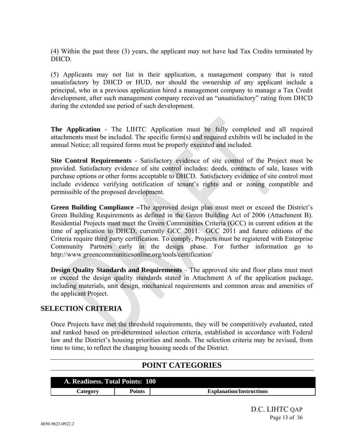(4) Within the past three (3) years, the applicant may not have had Tax Credits terminated by DHCD.

(5) Applicants may not list in their application, a management company that is rated unsatisfactory by DHCD or HUD, nor should the ownership of any applicant include a principal, who in a previous application hired a management company to manage a Tax Credit development, after such management company received an "unsatisfactory" rating from DHCD during the extended use period of such development.

**The Application** - The LIHTC Application must be fully completed and all required attachments must be included. The specific form(s) and required exhibits will be included in the annual Notice; all required forms must be properly executed and included.

**Site Control Requirements** - Satisfactory evidence of site control of the Project must be provided. Satisfactory evidence of site control includes: deeds, contracts of sale, leases with purchase options or other forms acceptable to DHCD. Satisfactory evidence of site control must include evidence verifying notification of tenant's rights and or zoning compatible and permissible of the proposed development.

**Green Building Compliance –**The approved design plan must meet or exceed the District's Green Building Requirements as defined in the Green Building Act of 2006 (Attachment B). Residential Projects must meet the Green Communities Criteria (GCC) in current edition at the time of application to DHCD, currently GCC 2011. GCC 2011 and future editions of the Criteria require third party certification. To comply, Projects must be registered with Enterprise Community Partners early in the design phase. For further information go to http://www.greencommunitiesonline.org/tools/certification/

**Design Quality Standards and Requirements** – The approved site and floor plans must meet or exceed the design quality standards stated in Attachment A of the application package, including materials, unit design, mechanical requirements and common areas and amenities of the applicant Project.

# **SELECTION CRITERIA**

Once Projects have met the threshold requirements, they will be competitively evaluated, rated and ranked based on pre-determined selection criteria, established in accordance with Federal law and the District's housing priorities and needs. The selection criteria may be revised, from time to time, to reflect the changing housing needs of the District.

# **POINT CATEGORIES**

| A. Readiness. Total Points: 100 |        |                                 |
|---------------------------------|--------|---------------------------------|
| <b>Category</b>                 | Points | <b>Explanation/Instructions</b> |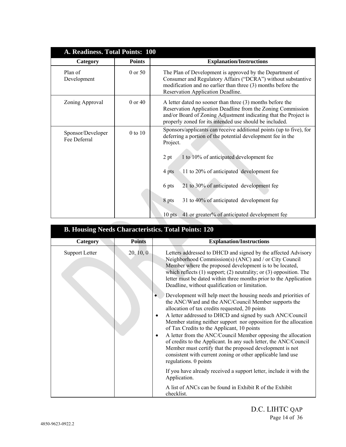| A. Readiness. Total Points: 100   |               |                                                                                                                                                                                                                                                                                                                                                                                                                   |
|-----------------------------------|---------------|-------------------------------------------------------------------------------------------------------------------------------------------------------------------------------------------------------------------------------------------------------------------------------------------------------------------------------------------------------------------------------------------------------------------|
| Category                          | <b>Points</b> | <b>Explanation/Instructions</b>                                                                                                                                                                                                                                                                                                                                                                                   |
| Plan of<br>Development            | 0 or 50       | The Plan of Development is approved by the Department of<br>Consumer and Regulatory Affairs ("DCRA") without substantive<br>modification and no earlier than three (3) months before the<br>Reservation Application Deadline.                                                                                                                                                                                     |
| Zoning Approval                   | $0$ or $40$   | A letter dated no sooner than three (3) months before the<br>Reservation Application Deadline from the Zoning Commission<br>and/or Board of Zoning Adjustment indicating that the Project is<br>properly zoned for its intended use should be included.                                                                                                                                                           |
| Sponsor/Developer<br>Fee Deferral | 0 to 10       | Sponsors/applicants can receive additional points (up to five), for<br>deferring a portion of the potential development fee in the<br>Project.<br>2 pt<br>1 to 10% of anticipated development fee<br>11 to 20% of anticipated development fee<br>4 pts<br>21 to 30% of anticipated development fee<br>6 pts<br>8 pts<br>31 to 40% of anticipated development fee<br>41 or greater% of anticipated development fee |
|                                   |               | $10$ pts                                                                                                                                                                                                                                                                                                                                                                                                          |

| <b>B. Housing Needs Characteristics. Total Points: 120</b> |               |                                                                                                                                                                                                                                                                                                                                                                                                                                                                                                                                                                                                                                                                                        |  |
|------------------------------------------------------------|---------------|----------------------------------------------------------------------------------------------------------------------------------------------------------------------------------------------------------------------------------------------------------------------------------------------------------------------------------------------------------------------------------------------------------------------------------------------------------------------------------------------------------------------------------------------------------------------------------------------------------------------------------------------------------------------------------------|--|
| Category                                                   | <b>Points</b> | <b>Explanation/Instructions</b>                                                                                                                                                                                                                                                                                                                                                                                                                                                                                                                                                                                                                                                        |  |
| <b>Support Letter</b>                                      | 20, 10, 0     | Letters addressed to DHCD and signed by the affected Advisory<br>Neighborhood Commission(s) (ANC) and / or City Council<br>Member where the proposed development is to be located,<br>which reflects $(1)$ support; $(2)$ neutrality; or $(3)$ opposition. The<br>letter must be dated within three months prior to the Application<br>Deadline, without qualification or limitation.                                                                                                                                                                                                                                                                                                  |  |
|                                                            |               | Development will help meet the housing needs and priorities of<br>$\bullet$<br>the ANC/Ward and the ANC/Council Member supports the<br>allocation of tax credits requested, 20 points<br>A letter addressed to DHCD and signed by such ANC/Council<br>$\bullet$<br>Member stating neither support nor opposition for the allocation<br>of Tax Credits to the Applicant, 10 points<br>A letter from the ANC/Council Member opposing the allocation<br>$\bullet$<br>of credits to the Applicant. In any such letter, the ANC/Council<br>Member must certify that the proposed development is not<br>consistent with current zoning or other applicable land use<br>regulations. 0 points |  |
|                                                            |               | If you have already received a support letter, include it with the<br>Application.                                                                                                                                                                                                                                                                                                                                                                                                                                                                                                                                                                                                     |  |
|                                                            |               | A list of ANCs can be found in Exhibit R of the Exhibit<br>checklist.                                                                                                                                                                                                                                                                                                                                                                                                                                                                                                                                                                                                                  |  |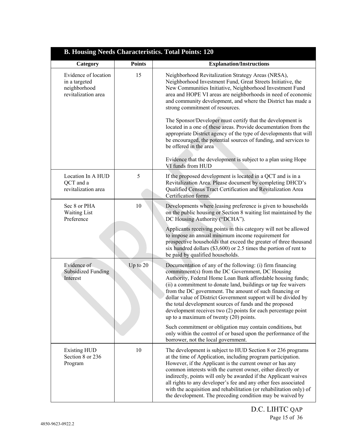| <b>B. Housing Needs Characteristics. Total Points: 120</b>                   |               |                                                                                                                                                                                                                                                                                                                                                                                                                                                                                                                                                     |
|------------------------------------------------------------------------------|---------------|-----------------------------------------------------------------------------------------------------------------------------------------------------------------------------------------------------------------------------------------------------------------------------------------------------------------------------------------------------------------------------------------------------------------------------------------------------------------------------------------------------------------------------------------------------|
| Category                                                                     | <b>Points</b> | <b>Explanation/Instructions</b>                                                                                                                                                                                                                                                                                                                                                                                                                                                                                                                     |
| Evidence of location<br>in a targeted<br>neighborhood<br>revitalization area | 15            | Neighborhood Revitalization Strategy Areas (NRSA),<br>Neighborhood Investment Fund, Great Streets Initiative, the<br>New Communities Initiative, Neighborhood Investment Fund<br>area and HOPE VI areas are neighborhoods in need of economic<br>and community development, and where the District has made a<br>strong commitment of resources.                                                                                                                                                                                                    |
|                                                                              |               | The Sponsor/Developer must certify that the development is<br>located in a one of these areas. Provide documentation from the<br>appropriate District agency of the type of developments that will<br>be encouraged, the potential sources of funding, and services to<br>be offered in the area                                                                                                                                                                                                                                                    |
|                                                                              |               | Evidence that the development is subject to a plan using Hope<br>VI funds from HUD                                                                                                                                                                                                                                                                                                                                                                                                                                                                  |
| Location In A HUD<br>QCT and a<br>revitalization area                        | 5             | If the proposed development is located in a QCT and is in a<br>Revitalization Area. Please document by completing DHCD's<br>Qualified Census Tract Certification and Revitalization Area<br>Certification forms.                                                                                                                                                                                                                                                                                                                                    |
| Sec 8 or PHA<br><b>Waiting List</b><br>Preference                            | 10            | Developments where leasing preference is given to households<br>on the public housing or Section 8 waiting list maintained by the<br>DC Housing Authority ("DCHA").                                                                                                                                                                                                                                                                                                                                                                                 |
|                                                                              |               | Applicants receiving points in this category will not be allowed<br>to impose an annual minimum income requirement for<br>prospective households that exceed the greater of three thousand<br>six hundred dollars $(\$3,600)$ or 2.5 times the portion of rent to<br>be paid by qualified households.                                                                                                                                                                                                                                               |
| Evidence of<br><b>Subsidized Funding</b><br>Interest                         | Up to 20      | Documentation of any of the following: (i) firm financing<br>commitment(s) from the DC Government, DC Housing<br>Authority, Federal Home Loan Bank affordable housing funds;<br>(ii) a commitment to donate land, buildings or tap fee waivers<br>from the DC government. The amount of such financing or<br>dollar value of District Government support will be divided by<br>the total development sources of funds and the proposed<br>development receives two (2) points for each percentage point<br>up to a maximum of twenty $(20)$ points. |
|                                                                              |               | Such commitment or obligation may contain conditions, but<br>only within the control of or based upon the performance of the<br>borrower, not the local government.                                                                                                                                                                                                                                                                                                                                                                                 |
| <b>Existing HUD</b><br>Section 8 or 236<br>Program                           | 10            | The development is subject to HUD Section 8 or 236 programs<br>at the time of Application, including program participation.<br>However, if the Applicant is the current owner or has any<br>common interests with the current owner, either directly or<br>indirectly, points will only be awarded if the Applicant waives<br>all rights to any developer's fee and any other fees associated<br>with the acquisition and rehabilitation (or rehabilitation only) of<br>the development. The preceding condition may be waived by                   |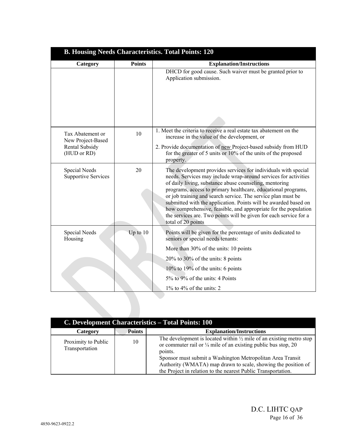| <b>B. Housing Needs Characteristics. Total Points: 120</b> |               |                                                                                                                                                                                                                                                                                                                                                                                                                                                                                                                                                               |
|------------------------------------------------------------|---------------|---------------------------------------------------------------------------------------------------------------------------------------------------------------------------------------------------------------------------------------------------------------------------------------------------------------------------------------------------------------------------------------------------------------------------------------------------------------------------------------------------------------------------------------------------------------|
| Category                                                   | <b>Points</b> | <b>Explanation/Instructions</b>                                                                                                                                                                                                                                                                                                                                                                                                                                                                                                                               |
|                                                            |               | DHCD for good cause. Such waiver must be granted prior to<br>Application submission.                                                                                                                                                                                                                                                                                                                                                                                                                                                                          |
| Tax Abatement or<br>New Project-Based                      | 10            | 1. Meet the criteria to receive a real estate tax abatement on the<br>increase in the value of the development, or                                                                                                                                                                                                                                                                                                                                                                                                                                            |
| Rental Subsidy<br>(HUD or RD)                              |               | 2. Provide documentation of new Project-based subsidy from HUD<br>for the greater of 5 units or 10% of the units of the proposed<br>property.                                                                                                                                                                                                                                                                                                                                                                                                                 |
| Special Needs<br><b>Supportive Services</b>                | 20            | The development provides services for individuals with special<br>needs. Services may include wrap-around services for activities<br>of daily living, substance abuse counseling, mentoring<br>programs, access to primary healthcare, educational programs,<br>or job training and search service. The service plan must be<br>submitted with the application. Points will be awarded based on<br>how comprehensive, feasible, and appropriate for the population<br>the services are. Two points will be given for each service for a<br>total of 20 points |
| Special Needs<br>Housing                                   | Up to $10$    | Points will be given for the percentage of units dedicated to<br>seniors or special needs tenants:                                                                                                                                                                                                                                                                                                                                                                                                                                                            |
|                                                            |               | More than 30% of the units: 10 points                                                                                                                                                                                                                                                                                                                                                                                                                                                                                                                         |
|                                                            |               | $20\%$ to 30% of the units: 8 points                                                                                                                                                                                                                                                                                                                                                                                                                                                                                                                          |
|                                                            |               | 10% to 19% of the units: 6 points                                                                                                                                                                                                                                                                                                                                                                                                                                                                                                                             |
|                                                            |               | 5% to 9% of the units: 4 Points                                                                                                                                                                                                                                                                                                                                                                                                                                                                                                                               |
|                                                            |               | $1\%$ to $4\%$ of the units: 2                                                                                                                                                                                                                                                                                                                                                                                                                                                                                                                                |

| C. Development Characteristics – Total Points: 100 |               |                                                                                                                                                                                                                                                                                                                                                                        |
|----------------------------------------------------|---------------|------------------------------------------------------------------------------------------------------------------------------------------------------------------------------------------------------------------------------------------------------------------------------------------------------------------------------------------------------------------------|
| Category                                           | <b>Points</b> | <b>Explanation/Instructions</b>                                                                                                                                                                                                                                                                                                                                        |
| Proximity to Public<br>Transportation              | 10            | The development is located within $\frac{1}{2}$ mile of an existing metro stop<br>or commuter rail or $\frac{1}{4}$ mile of an existing public bus stop, 20<br>points.<br>Sponsor must submit a Washington Metropolitan Area Transit<br>Authority (WMATA) map drawn to scale, showing the position of<br>the Project in relation to the nearest Public Transportation. |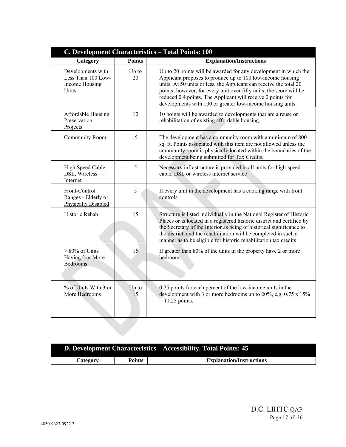| C. Development Characteristics - Total Points: 100                 |               |                                                                                                                                                                                                                                                                                                                                                                                                          |
|--------------------------------------------------------------------|---------------|----------------------------------------------------------------------------------------------------------------------------------------------------------------------------------------------------------------------------------------------------------------------------------------------------------------------------------------------------------------------------------------------------------|
| Category                                                           | <b>Points</b> | <b>Explanation/Instructions</b>                                                                                                                                                                                                                                                                                                                                                                          |
| Developments with<br>Less Than 100 Low-<br>Income Housing<br>Units | Up to<br>20   | Up to 20 points will be awarded for any development in which the<br>Applicant proposes to produce up to 100 low-income housing<br>units. At 50 units or less, the Applicant can receive the total 20<br>points; however, for every unit over fifty units, the score will be<br>reduced 0.4 points. The Applicant will receive 0 points for<br>developments with 100 or greater low-income housing units. |
| Affordable Housing<br>Preservation<br>Projects                     | 10            | 10 points will be awarded to developments that are a reuse or<br>rehabilitation of existing affordable housing.                                                                                                                                                                                                                                                                                          |
| Community Room                                                     | 5             | The development has a community room with a minimum of 800<br>sq. ft. Points associated with this item are not allowed unless the<br>community room is physically located within the boundaries of the<br>development being submitted for Tax Credits.                                                                                                                                                   |
| High Speed Cable,<br>DSL, Wireless<br>Internet                     | 5             | Necessary infrastructure is provided in all units for high-speed<br>cable, DSL or wireless internet service                                                                                                                                                                                                                                                                                              |
| Front-Control<br>Ranges - Elderly or<br><b>Physically Disabled</b> | 5             | If every unit in the development has a cooking range with front<br>controls                                                                                                                                                                                                                                                                                                                              |
| Historic Rehab                                                     | 15            | Structure is listed individually in the National Register of Historic<br>Places or is located in a registered historic district and certified by<br>the Secretary of the Interior as being of historical significance to<br>the district, and the rehabilitation will be completed in such a<br>manner as to be eligible for historic rehabilitation tax credits                                         |
| $> 80\%$ of Units<br>Having 2 or More<br><b>Bedrooms</b>           | 15            | If greater than 80% of the units in the property have 2 or more<br>bedrooms.                                                                                                                                                                                                                                                                                                                             |
| % of Units With 3 or<br>More Bedrooms                              | Up to<br>15   | 0.75 points for each percent of the low-income units in the<br>development with 3 or more bedrooms up to 20%, e.g. 0.75 x 15%<br>$= 11.25$ points.                                                                                                                                                                                                                                                       |
|                                                                    |               |                                                                                                                                                                                                                                                                                                                                                                                                          |

| D. Development Characteristics - Accessibility. Total Points: 45 |               |                                 |
|------------------------------------------------------------------|---------------|---------------------------------|
| Category                                                         | <b>Points</b> | <b>Explanation/Instructions</b> |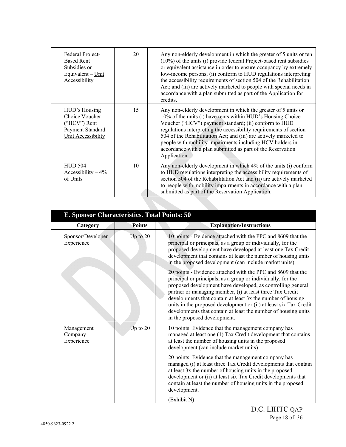| Federal Project-<br><b>Based Rent</b><br>Subsidies or<br>Equivalent $-\underline{\text{Unit}}$<br>Accessibility | 20 | Any non-elderly development in which the greater of 5 units or ten<br>(10%) of the units (i) provide federal Project-based rent subsidies<br>or equivalent assistance in order to ensure occupancy by extremely<br>low-income persons; (ii) conform to HUD regulations interpreting<br>the accessibility requirements of section 504 of the Rehabilitation<br>Act; and (iii) are actively marketed to people with special needs in<br>accordance with a plan submitted as part of the Application for<br>credits. |
|-----------------------------------------------------------------------------------------------------------------|----|-------------------------------------------------------------------------------------------------------------------------------------------------------------------------------------------------------------------------------------------------------------------------------------------------------------------------------------------------------------------------------------------------------------------------------------------------------------------------------------------------------------------|
| HUD's Housing<br>Choice Voucher<br>$("HCV")$ Rent<br>Payment Standard -<br>Unit Accessibility                   | 15 | Any non-elderly development in which the greater of 5 units or<br>10% of the units (i) have rents within HUD's Housing Choice<br>Voucher ("HCV") payment standard; (ii) conform to HUD<br>regulations interpreting the accessibility requirements of section<br>504 of the Rehabilitation Act; and (iii) are actively marketed to<br>people with mobility impairments including HCV holders in<br>accordance with a plan submitted as part of the Reservation<br>Application.                                     |
| <b>HUD 504</b><br>Accessibility $-4\%$<br>of Units                                                              | 10 | Any non-elderly development in which 4% of the units (i) conform<br>to HUD regulations interpreting the accessibility requirements of<br>section 504 of the Rehabilitation Act and (ii) are actively marketed<br>to people with mobility impairments in accordance with a plan<br>submitted as part of the Reservation Application.                                                                                                                                                                               |

Contract of the Contract of

| E. Sponsor Characteristics. Total Points: 50 |               |                                                                                                                                                                                                                                                                                                                                                                                                                                                                                                |
|----------------------------------------------|---------------|------------------------------------------------------------------------------------------------------------------------------------------------------------------------------------------------------------------------------------------------------------------------------------------------------------------------------------------------------------------------------------------------------------------------------------------------------------------------------------------------|
| Category                                     | <b>Points</b> | <b>Explanation/Instructions</b>                                                                                                                                                                                                                                                                                                                                                                                                                                                                |
| Sponsor/Developer<br>Experience              | Up to $20$    | 10 points - Evidence attached with the PPC and 8609 that the<br>principal or principals, as a group or individually, for the<br>proposed development have developed at least one Tax Credit<br>development that contains at least the number of housing units<br>in the proposed development (can include market units)                                                                                                                                                                        |
|                                              |               | 20 points - Evidence attached with the PPC and 8609 that the<br>principal or principals, as a group or individually, for the<br>proposed development have developed, as controlling general<br>partner or managing member, (i) at least three Tax Credit<br>developments that contain at least 3x the number of housing<br>units in the proposed development or (ii) at least six Tax Credit<br>developments that contain at least the number of housing units<br>in the proposed development. |
| Management<br>Company<br>Experience          | Up to $20$    | 10 points: Evidence that the management company has<br>managed at least one (1) Tax Credit development that contains<br>at least the number of housing units in the proposed<br>development (can include market units)                                                                                                                                                                                                                                                                         |
|                                              |               | 20 points: Evidence that the management company has<br>managed (i) at least three Tax Credit developments that contain<br>at least 3x the number of housing units in the proposed<br>development or (ii) at least six Tax Credit developments that<br>contain at least the number of housing units in the proposed<br>development.                                                                                                                                                             |
|                                              |               | (Exhibit N)                                                                                                                                                                                                                                                                                                                                                                                                                                                                                    |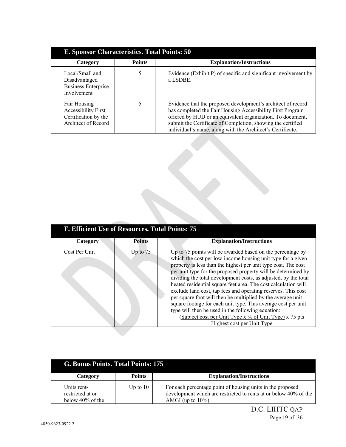| E. Sponsor Characteristics. Total Points: 50                                              |               |                                                                                                                                                                                                                                                                                                                       |
|-------------------------------------------------------------------------------------------|---------------|-----------------------------------------------------------------------------------------------------------------------------------------------------------------------------------------------------------------------------------------------------------------------------------------------------------------------|
| Category                                                                                  | <b>Points</b> | <b>Explanation/Instructions</b>                                                                                                                                                                                                                                                                                       |
| Local/Small and<br>Disadvantaged<br><b>Business Enterprise</b><br>Involvement             |               | Evidence (Exhibit P) of specific and significant involvement by<br>a LSDBE.                                                                                                                                                                                                                                           |
| Fair Housing<br><b>Accessibility First</b><br>Certification by the<br>Architect of Record |               | Evidence that the proposed development's architect of record<br>has completed the Fair Housing Accessibility First Program<br>offered by HUD or an equivalent organization. To document,<br>submit the Certificate of Completion, showing the certified<br>individual's name, along with the Architect's Certificate. |

| F. Efficient Use of Resources. Total Points: 75 |               |                                                                                                                                                                                                                                                                                                                                                                                                                                                                                                                                                                                                                                                                                                                                                 |
|-------------------------------------------------|---------------|-------------------------------------------------------------------------------------------------------------------------------------------------------------------------------------------------------------------------------------------------------------------------------------------------------------------------------------------------------------------------------------------------------------------------------------------------------------------------------------------------------------------------------------------------------------------------------------------------------------------------------------------------------------------------------------------------------------------------------------------------|
| Category                                        | <b>Points</b> | <b>Explanation/Instructions</b>                                                                                                                                                                                                                                                                                                                                                                                                                                                                                                                                                                                                                                                                                                                 |
| Cost Per Unit                                   | Up to $75$    | Up to 75 points will be awarded based on the percentage by<br>which the cost per low-income housing unit type for a given<br>property is less than the highest per unit type cost. The cost<br>per unit type for the proposed property will be determined by<br>dividing the total development costs, as adjusted, by the total<br>heated residential square feet area. The cost calculation will<br>exclude land cost, tap fees and operating reserves. This cost<br>per square foot will then be multiplied by the average unit<br>square footage for each unit type. This average cost per unit<br>type will then be used in the following equation:<br>(Subject cost per Unit Type x % of Unit Type) x 75 pts<br>Highest cost per Unit Type |

| G. Bonus Points. Total Points: 175                     |               |                                                                                                                                                         |
|--------------------------------------------------------|---------------|---------------------------------------------------------------------------------------------------------------------------------------------------------|
| Category                                               | <b>Points</b> | <b>Explanation/Instructions</b>                                                                                                                         |
| Units rent-<br>restricted at or<br>below $40\%$ of the | Up to $10$    | For each percentage point of housing units in the proposed<br>development which are restricted to rents at or below 40% of the<br>AMGI (up to $10\%$ ). |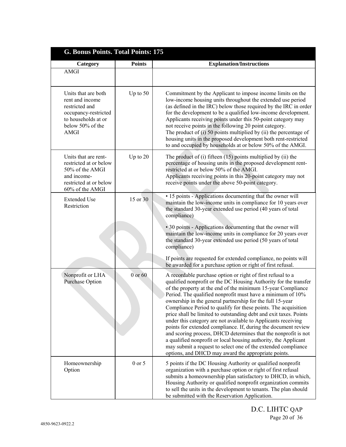| G. Bonus Points. Total Points: 175                                                                                                         |               |                                                                                                                                                                                                                                                                                                                                                                                                                                                                                                                                                                                                                                                                                                                                                                                                                                                                   |
|--------------------------------------------------------------------------------------------------------------------------------------------|---------------|-------------------------------------------------------------------------------------------------------------------------------------------------------------------------------------------------------------------------------------------------------------------------------------------------------------------------------------------------------------------------------------------------------------------------------------------------------------------------------------------------------------------------------------------------------------------------------------------------------------------------------------------------------------------------------------------------------------------------------------------------------------------------------------------------------------------------------------------------------------------|
| Category                                                                                                                                   | <b>Points</b> | <b>Explanation/Instructions</b>                                                                                                                                                                                                                                                                                                                                                                                                                                                                                                                                                                                                                                                                                                                                                                                                                                   |
| <b>AMGI</b>                                                                                                                                |               |                                                                                                                                                                                                                                                                                                                                                                                                                                                                                                                                                                                                                                                                                                                                                                                                                                                                   |
| Units that are both<br>rent and income<br>restricted and<br>occupancy-restricted<br>to households at or<br>below 50% of the<br><b>AMGI</b> | Up to $50$    | Commitment by the Applicant to impose income limits on the<br>low-income housing units throughout the extended use period<br>(as defined in the IRC) below those required by the IRC in order<br>for the development to be a qualified low-income development.<br>Applicants receiving points under this 50-point category may<br>not receive points in the following 20 point category.<br>The product of $(i)$ 50 points multiplied by $(ii)$ the percentage of<br>housing units in the proposed development both rent-restricted<br>to and occupied by households at or below 50% of the AMGI.                                                                                                                                                                                                                                                                 |
| Units that are rent-<br>restricted at or below<br>50% of the AMGI<br>and income-<br>restricted at or below<br>60% of the AMGI              | Up to 20      | The product of $(i)$ fifteen $(15)$ points multiplied by $(ii)$ the<br>percentage of housing units in the proposed development rent-<br>restricted at or below 50% of the AMGI.<br>Applicants receiving points in this 20-point category may not<br>receive points under the above 50-point category.                                                                                                                                                                                                                                                                                                                                                                                                                                                                                                                                                             |
| <b>Extended Use</b><br>Restriction                                                                                                         | 15 or 30      | • 15 points - Applications documenting that the owner will<br>maintain the low-income units in compliance for 10 years over<br>the standard 30-year extended use period (40 years of total<br>compliance)<br>• 30 points - Applications documenting that the owner will<br>maintain the low-income units in compliance for 20 years over<br>the standard 30-year extended use period (50 years of total<br>compliance)                                                                                                                                                                                                                                                                                                                                                                                                                                            |
|                                                                                                                                            |               | If points are requested for extended compliance, no points will<br>be awarded for a purchase option or right of first refusal.                                                                                                                                                                                                                                                                                                                                                                                                                                                                                                                                                                                                                                                                                                                                    |
| Nonprofit or LHA<br><b>Purchase Option</b>                                                                                                 | 0 or 60       | A recordable purchase option or right of first refusal to a<br>qualified nonprofit or the DC Housing Authority for the transfer<br>of the property at the end of the minimum 15-year Compliance<br>Period. The qualified nonprofit must have a minimum of 10%<br>ownership in the general partnership for the full 15-year<br>Compliance Period to qualify for these points. The acquisition<br>price shall be limited to outstanding debt and exit taxes. Points<br>under this category are not available to Applicants receiving<br>points for extended compliance. If, during the document review<br>and scoring process, DHCD determines that the nonprofit is not<br>a qualified nonprofit or local housing authority, the Applicant<br>may submit a request to select one of the extended compliance<br>options, and DHCD may award the appropriate points. |
| Homeownership<br>Option                                                                                                                    | $0$ or $5$    | 5 points if the DC Housing Authority or qualified nonprofit<br>organization with a purchase option or right of first refusal<br>submits a homeownership plan satisfactory to DHCD, in which,<br>Housing Authority or qualified nonprofit organization commits<br>to sell the units in the development to tenants. The plan should<br>be submitted with the Reservation Application.                                                                                                                                                                                                                                                                                                                                                                                                                                                                               |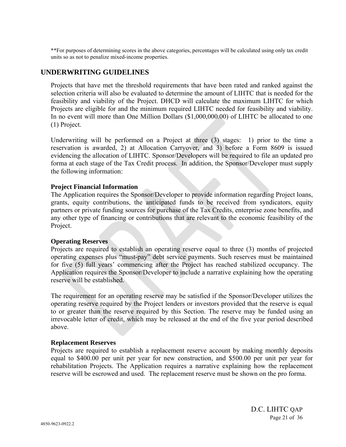\*\*For purposes of determining scores in the above categories, percentages will be calculated using only tax credit units so as not to penalize mixed-income properties.

# **UNDERWRITING GUIDELINES**

Projects that have met the threshold requirements that have been rated and ranked against the selection criteria will also be evaluated to determine the amount of LIHTC that is needed for the feasibility and viability of the Project. DHCD will calculate the maximum LIHTC for which Projects are eligible for and the minimum required LIHTC needed for feasibility and viability. In no event will more than One Million Dollars (\$1,000,000.00) of LIHTC be allocated to one (1) Project.

Underwriting will be performed on a Project at three (3) stages: 1) prior to the time a reservation is awarded, 2) at Allocation Carryover, and 3) before a Form 8609 is issued evidencing the allocation of LIHTC. Sponsor/Developers will be required to file an updated pro forma at each stage of the Tax Credit process. In addition, the Sponsor/Developer must supply the following information:

#### **Project Financial Information**

The Application requires the Sponsor/Developer to provide information regarding Project loans, grants, equity contributions, the anticipated funds to be received from syndicators, equity partners or private funding sources for purchase of the Tax Credits, enterprise zone benefits, and any other type of financing or contributions that are relevant to the economic feasibility of the Project.

#### **Operating Reserves**

Projects are required to establish an operating reserve equal to three (3) months of projected operating expenses plus "must-pay" debt service payments. Such reserves must be maintained for five (5) full years' commencing after the Project has reached stabilized occupancy. The Application requires the Sponsor/Developer to include a narrative explaining how the operating reserve will be established.

The requirement for an operating reserve may be satisfied if the Sponsor/Developer utilizes the operating reserve required by the Project lenders or investors provided that the reserve is equal to or greater than the reserve required by this Section. The reserve may be funded using an irrevocable letter of credit, which may be released at the end of the five year period described above.

#### **Replacement Reserves**

Projects are required to establish a replacement reserve account by making monthly deposits equal to \$400.00 per unit per year for new construction, and \$500.00 per unit per year for rehabilitation Projects. The Application requires a narrative explaining how the replacement reserve will be escrowed and used. The replacement reserve must be shown on the pro forma.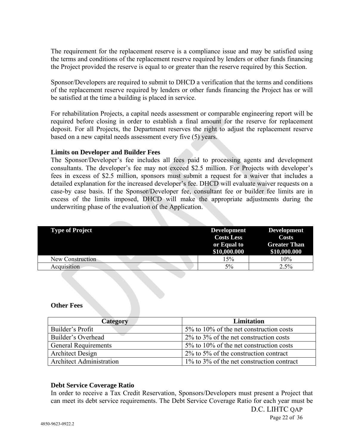The requirement for the replacement reserve is a compliance issue and may be satisfied using the terms and conditions of the replacement reserve required by lenders or other funds financing the Project provided the reserve is equal to or greater than the reserve required by this Section.

Sponsor/Developers are required to submit to DHCD a verification that the terms and conditions of the replacement reserve required by lenders or other funds financing the Project has or will be satisfied at the time a building is placed in service.

For rehabilitation Projects, a capital needs assessment or comparable engineering report will be required before closing in order to establish a final amount for the reserve for replacement deposit. For all Projects, the Department reserves the right to adjust the replacement reserve based on a new capital needs assessment every five (5) years.

# **Limits on Developer and Builder Fees**

The Sponsor/Developer's fee includes all fees paid to processing agents and development consultants. The developer's fee may not exceed \$2.5 million. For Projects with developer's fees in excess of \$2.5 million, sponsors must submit a request for a waiver that includes a detailed explanation for the increased developer's fee. DHCD will evaluate waiver requests on a case-by case basis. If the Sponsor/Developer fee, consultant fee or builder fee limits are in excess of the limits imposed, DHCD will make the appropriate adjustments during the underwriting phase of the evaluation of the Application.

| <b>Type of Project</b> | <b>Development</b><br><b>Costs Less</b> | <b>Development</b><br>Costs         |
|------------------------|-----------------------------------------|-------------------------------------|
|                        | or Equal to<br>\$10,000.000             | <b>Greater Than</b><br>\$10,000.000 |
| New Construction       | 15%                                     | 10%                                 |
| Acquisition            | 5%                                      | 2.5%                                |
|                        |                                         |                                     |

#### **Other Fees**

| Category                        | <b>Limitation</b>                               |
|---------------------------------|-------------------------------------------------|
| Builder's Profit                | $5\%$ to 10% of the net construction costs      |
| Builder's Overhead              | $2\%$ to $3\%$ of the net construction costs    |
| <b>General Requirements</b>     | $5\%$ to 10% of the net construction costs      |
| <b>Architect Design</b>         | $2\%$ to 5% of the construction contract        |
| <b>Architect Administration</b> | $1\%$ to $3\%$ of the net construction contract |

# **Debt Service Coverage Ratio**

In order to receive a Tax Credit Reservation, Sponsors/Developers must present a Project that can meet its debt service requirements. The Debt Service Coverage Ratio for each year must be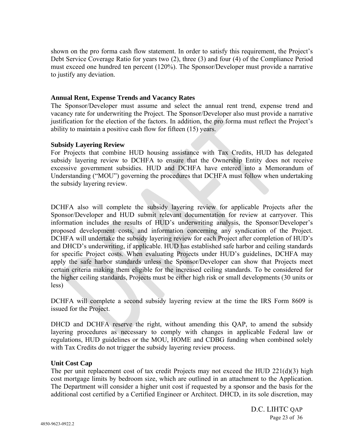shown on the pro forma cash flow statement. In order to satisfy this requirement, the Project's Debt Service Coverage Ratio for years two (2), three (3) and four (4) of the Compliance Period must exceed one hundred ten percent (120%). The Sponsor/Developer must provide a narrative to justify any deviation.

#### **Annual Rent, Expense Trends and Vacancy Rates**

The Sponsor/Developer must assume and select the annual rent trend, expense trend and vacancy rate for underwriting the Project. The Sponsor/Developer also must provide a narrative justification for the election of the factors. In addition, the pro forma must reflect the Project's ability to maintain a positive cash flow for fifteen (15) years.

#### **Subsidy Layering Review**

For Projects that combine HUD housing assistance with Tax Credits, HUD has delegated subsidy layering review to DCHFA to ensure that the Ownership Entity does not receive excessive government subsidies. HUD and DCHFA have entered into a Memorandum of Understanding ("MOU") governing the procedures that DCHFA must follow when undertaking the subsidy layering review.

DCHFA also will complete the subsidy layering review for applicable Projects after the Sponsor/Developer and HUD submit relevant documentation for review at carryover. This information includes the results of HUD's underwriting analysis, the Sponsor/Developer's proposed development costs, and information concerning any syndication of the Project. DCHFA will undertake the subsidy layering review for each Project after completion of HUD's and DHCD's underwriting, if applicable. HUD has established safe harbor and ceiling standards for specific Project costs. When evaluating Projects under HUD's guidelines, DCHFA may apply the safe harbor standards unless the Sponsor/Developer can show that Projects meet certain criteria making them eligible for the increased ceiling standards. To be considered for the higher ceiling standards, Projects must be either high risk or small developments (30 units or less)

DCHFA will complete a second subsidy layering review at the time the IRS Form 8609 is issued for the Project.

DHCD and DCHFA reserve the right, without amending this QAP, to amend the subsidy layering procedures as necessary to comply with changes in applicable Federal law or regulations, HUD guidelines or the MOU, HOME and CDBG funding when combined solely with Tax Credits do not trigger the subsidy layering review process.

# **Unit Cost Cap**

The per unit replacement cost of tax credit Projects may not exceed the HUD  $221(d)(3)$  high cost mortgage limits by bedroom size, which are outlined in an attachment to the Application. The Department will consider a higher unit cost if requested by a sponsor and the basis for the additional cost certified by a Certified Engineer or Architect. DHCD, in its sole discretion, may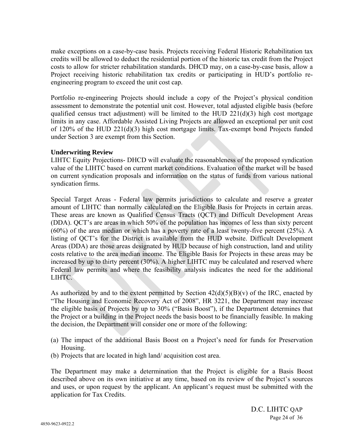make exceptions on a case-by-case basis. Projects receiving Federal Historic Rehabilitation tax credits will be allowed to deduct the residential portion of the historic tax credit from the Project costs to allow for stricter rehabilitation standards. DHCD may, on a case-by-case basis, allow a Project receiving historic rehabilitation tax credits or participating in HUD's portfolio reengineering program to exceed the unit cost cap.

Portfolio re-engineering Projects should include a copy of the Project's physical condition assessment to demonstrate the potential unit cost. However, total adjusted eligible basis (before qualified census tract adjustment) will be limited to the HUD  $221(d)(3)$  high cost mortgage limits in any case. Affordable Assisted Living Projects are allowed an exceptional per unit cost of 120% of the HUD 221(d)(3) high cost mortgage limits. Tax-exempt bond Projects funded under Section 3 are exempt from this Section.

# **Underwriting Review**

LIHTC Equity Projections- DHCD will evaluate the reasonableness of the proposed syndication value of the LIHTC based on current market conditions. Evaluation of the market will be based on current syndication proposals and information on the status of funds from various national syndication firms.

Special Target Areas - Federal law permits jurisdictions to calculate and reserve a greater amount of LIHTC than normally calculated on the Eligible Basis for Projects in certain areas. These areas are known as Qualified Census Tracts (QCT) and Difficult Development Areas (DDA). QCT's are areas in which 50% of the population has incomes of less than sixty percent (60%) of the area median or which has a poverty rate of a least twenty-five percent (25%). A listing of QCT's for the District is available from the HUD website. Difficult Development Areas (DDA) are those areas designated by HUD because of high construction, land and utility costs relative to the area median income. The Eligible Basis for Projects in these areas may be increased by up to thirty percent (30%). A higher LIHTC may be calculated and reserved where Federal law permits and where the feasibility analysis indicates the need for the additional LIHTC.

As authorized by and to the extent permitted by Section  $42(d)(5)(B)(v)$  of the IRC, enacted by "The Housing and Economic Recovery Act of 2008", HR 3221, the Department may increase the eligible basis of Projects by up to 30% ("Basis Boost"), if the Department determines that the Project or a building in the Project needs the basis boost to be financially feasible. In making the decision, the Department will consider one or more of the following:

- (a) The impact of the additional Basis Boost on a Project's need for funds for Preservation Housing.
- (b) Projects that are located in high land/ acquisition cost area.

The Department may make a determination that the Project is eligible for a Basis Boost described above on its own initiative at any time, based on its review of the Project's sources and uses, or upon request by the applicant. An applicant's request must be submitted with the application for Tax Credits.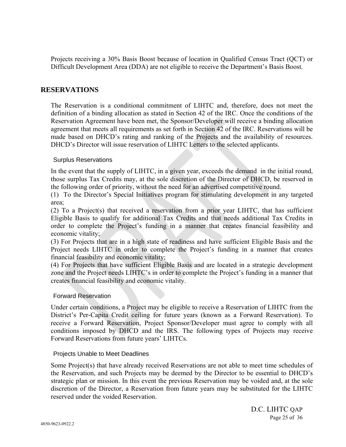Projects receiving a 30% Basis Boost because of location in Qualified Census Tract (QCT) or Difficult Development Area (DDA) are not eligible to receive the Department's Basis Boost.

# **RESERVATIONS**

The Reservation is a conditional commitment of LIHTC and, therefore, does not meet the definition of a binding allocation as stated in Section 42 of the IRC. Once the conditions of the Reservation Agreement have been met, the Sponsor/Developer will receive a binding allocation agreement that meets all requirements as set forth in Section 42 of the IRC. Reservations will be made based on DHCD's rating and ranking of the Projects and the availability of resources. DHCD's Director will issue reservation of LIHTC Letters to the selected applicants.

# Surplus Reservations

In the event that the supply of LIHTC, in a given year, exceeds the demand in the initial round, those surplus Tax Credits may, at the sole discretion of the Director of DHCD, be reserved in the following order of priority, without the need for an advertised competitive round.

(1) To the Director's Special Initiatives program for stimulating development in any targeted area;

(2) To a Project(s) that received a reservation from a prior year LIHTC, that has sufficient Eligible Basis to qualify for additional Tax Credits and that needs additional Tax Credits in order to complete the Project's funding in a manner that creates financial feasibility and economic vitality;

(3) For Projects that are in a high state of readiness and have sufficient Eligible Basis and the Project needs LIHTC in order to complete the Project's funding in a manner that creates financial feasibility and economic vitality;

(4) For Projects that have sufficient Eligible Basis and are located in a strategic development zone and the Project needs LIHTC's in order to complete the Project's funding in a manner that creates financial feasibility and economic vitality.

# Forward Reservation

Under certain conditions, a Project may be eligible to receive a Reservation of LIHTC from the District's Per-Capita Credit ceiling for future years (known as a Forward Reservation). To receive a Forward Reservation, Project Sponsor/Developer must agree to comply with all conditions imposed by DHCD and the IRS. The following types of Projects may receive Forward Reservations from future years' LIHTCs.

# Projects Unable to Meet Deadlines

Some Project(s) that have already received Reservations are not able to meet time schedules of the Reservation, and such Projects may be deemed by the Director to be essential to DHCD's strategic plan or mission. In this event the previous Reservation may be voided and, at the sole discretion of the Director, a Reservation from future years may be substituted for the LIHTC reserved under the voided Reservation.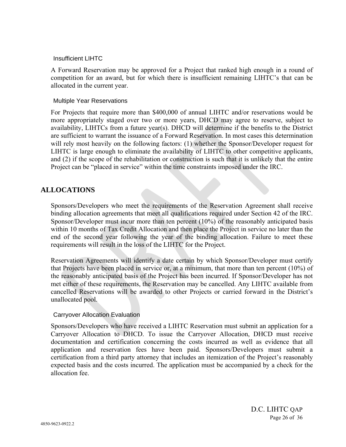#### Insufficient LIHTC

A Forward Reservation may be approved for a Project that ranked high enough in a round of competition for an award, but for which there is insufficient remaining LIHTC's that can be allocated in the current year.

#### Multiple Year Reservations

For Projects that require more than \$400,000 of annual LIHTC and/or reservations would be more appropriately staged over two or more years, DHCD may agree to reserve, subject to availability, LIHTCs from a future year(s). DHCD will determine if the benefits to the District are sufficient to warrant the issuance of a Forward Reservation. In most cases this determination will rely most heavily on the following factors: (1) whether the Sponsor/Developer request for LIHTC is large enough to eliminate the availability of LIHTC to other competitive applicants, and (2) if the scope of the rehabilitation or construction is such that it is unlikely that the entire Project can be "placed in service" within the time constraints imposed under the IRC.

# **ALLOCATIONS**

Sponsors/Developers who meet the requirements of the Reservation Agreement shall receive binding allocation agreements that meet all qualifications required under Section 42 of the IRC. Sponsor/Developer must incur more than ten percent (10%) of the reasonably anticipated basis within 10 months of Tax Credit Allocation and then place the Project in service no later than the end of the second year following the year of the binding allocation. Failure to meet these requirements will result in the loss of the LIHTC for the Project.

Reservation Agreements will identify a date certain by which Sponsor/Developer must certify that Projects have been placed in service or, at a minimum, that more than ten percent (10%) of the reasonably anticipated basis of the Project has been incurred. If Sponsor/Developer has not met either of these requirements, the Reservation may be cancelled. Any LIHTC available from cancelled Reservations will be awarded to other Projects or carried forward in the District's unallocated pool.

# Carryover Allocation Evaluation

Sponsors/Developers who have received a LIHTC Reservation must submit an application for a Carryover Allocation to DHCD. To issue the Carryover Allocation, DHCD must receive documentation and certification concerning the costs incurred as well as evidence that all application and reservation fees have been paid. Sponsors/Developers must submit a certification from a third party attorney that includes an itemization of the Project's reasonably expected basis and the costs incurred. The application must be accompanied by a check for the allocation fee.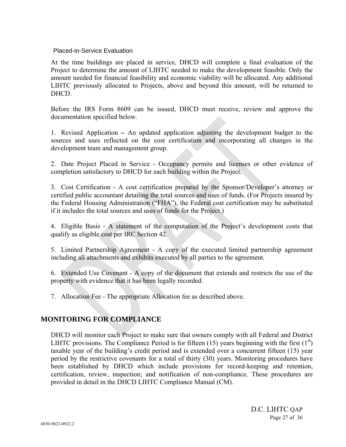# Placed-in-Service Evaluation

At the time buildings are placed in service, DHCD will complete a final evaluation of the Project to determine the amount of LIHTC needed to make the development feasible. Only the amount needed for financial feasibility and economic viability will be allocated. Any additional LIHTC previously allocated to Projects, above and beyond this amount, will be returned to DHCD.

Before the IRS Form 8609 can be issued, DHCD must receive, review and approve the documentation specified below.

1. Revised Application **–** An updated application adjusting the development budget to the sources and uses reflected on the cost certification and incorporating all changes in the development team and management group.

2. Date Project Placed in Service - Occupancy permits and licenses or other evidence of completion satisfactory to DHCD for each building within the Project.

3. Cost Certification - A cost certification prepared by the Sponsor/Developer's attorney or certified public accountant detailing the total sources and uses of funds. (For Projects insured by the Federal Housing Administration ("FHA"), the Federal cost certification may be substituted if it includes the total sources and uses of funds for the Project.)

4. Eligible Basis - A statement of the computation of the Project's development costs that qualify as eligible cost per IRC Section 42.

5. Limited Partnership Agreement - A copy of the executed limited partnership agreement including all attachments and exhibits executed by all parties to the agreement.

6. Extended Use Covenant - A copy of the document that extends and restricts the use of the property with evidence that it has been legally recorded.

7. Allocation Fee - The appropriate Allocation fee as described above.

# **MONITORING FOR COMPLIANCE**

DHCD will monitor each Project to make sure that owners comply with all Federal and District LIHTC provisions. The Compliance Period is for fifteen (15) years beginning with the first  $(1<sup>st</sup>)$ taxable year of the building's credit period and is extended over a concurrent fifteen (15) year period by the restrictive covenants for a total of thirty (30) years. Monitoring procedures have been established by DHCD which include provisions for record-keeping and retention, certification, review, inspection; and notification of non-compliance. These procedures are provided in detail in the DHCD LIHTC Compliance Manual (CM).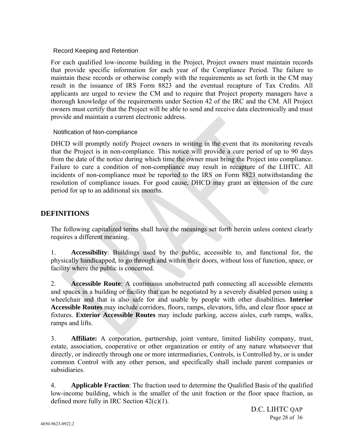# Record Keeping and Retention

For each qualified low-income building in the Project, Project owners must maintain records that provide specific information for each year of the Compliance Period. The failure to maintain these records or otherwise comply with the requirements as set forth in the CM may result in the issuance of IRS Form 8823 and the eventual recapture of Tax Credits. All applicants are urged to review the CM and to require that Project property managers have a thorough knowledge of the requirements under Section 42 of the IRC and the CM. All Project owners must certify that the Project will be able to send and receive data electronically and must provide and maintain a current electronic address.

# Notification of Non-compliance

DHCD will promptly notify Project owners in writing in the event that its monitoring reveals that the Project is in non-compliance. This notice will provide a cure period of up to 90 days from the date of the notice during which time the owner must bring the Project into compliance. Failure to cure a condition of non-compliance may result in recapture of the LIHTC. All incidents of non-compliance must be reported to the IRS on Form 8823 notwithstanding the resolution of compliance issues. For good cause, DHCD may grant an extension of the cure period for up to an additional six months.

# **DEFINITIONS**

The following capitalized terms shall have the meanings set forth herein unless context clearly requires a different meaning.

1. **Accessibility**: Buildings used by the public, accessible to, and functional for, the physically handicapped, to go through and within their doors, without loss of function, space, or facility where the public is concerned.

2. **Accessible Route**: A continuous unobstructed path connecting all accessible elements and spaces in a building or facility that can be negotiated by a severely disabled person using a wheelchair and that is also safe for and usable by people with other disabilities. **Interior Accessible Routes** may include corridors, floors, ramps, elevators, lifts, and clear floor space at fixtures. **Exterior Accessible Routes** may include parking, access aisles, curb ramps, walks, ramps and lifts.

3. **Affiliate:** A corporation, partnership, joint venture, limited liability company, trust, estate, association, cooperative or other organization or entity of any nature whatsoever that directly, or indirectly through one or more intermediaries, Controls, is Controlled by, or is under common Control with any other person, and specifically shall include parent companies or subsidiaries.

4. **Applicable Fraction**: The fraction used to determine the Qualified Basis of the qualified low-income building, which is the smaller of the unit fraction or the floor space fraction, as defined more fully in IRC Section 42(c)(1).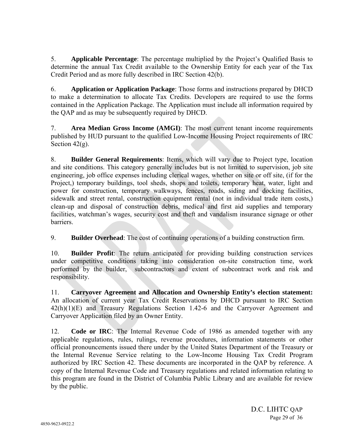5. **Applicable Percentage**: The percentage multiplied by the Project's Qualified Basis to determine the annual Tax Credit available to the Ownership Entity for each year of the Tax Credit Period and as more fully described in IRC Section 42(b).

6. **Application or Application Package**: Those forms and instructions prepared by DHCD to make a determination to allocate Tax Credits. Developers are required to use the forms contained in the Application Package. The Application must include all information required by the QAP and as may be subsequently required by DHCD.

7. **Area Median Gross Income (AMGI)**: The most current tenant income requirements published by HUD pursuant to the qualified Low-Income Housing Project requirements of IRC Section  $42(g)$ .

8. **Builder General Requirements**: Items, which will vary due to Project type, location and site conditions. This category generally includes but is not limited to supervision, job site engineering, job office expenses including clerical wages, whether on site or off site, (if for the Project,) temporary buildings, tool sheds, shops and toilets, temporary heat, water, light and power for construction, temporary walkways, fences, roads, siding and docking facilities, sidewalk and street rental, construction equipment rental (not in individual trade item costs,) clean-up and disposal of construction debris, medical and first aid supplies and temporary facilities, watchman's wages, security cost and theft and vandalism insurance signage or other barriers.

9. **Builder Overhead**: The cost of continuing operations of a building construction firm.

10. **Builder Profit**: The return anticipated for providing building construction services under competitive conditions taking into consideration on-site construction time, work performed by the builder, subcontractors and extent of subcontract work and risk and responsibility.

11. **Carryover Agreement and Allocation and Ownership Entity's election statement:**  An allocation of current year Tax Credit Reservations by DHCD pursuant to IRC Section 42(h)(1)(E) and Treasury Regulations Section 1.42-6 and the Carryover Agreement and Carryover Application filed by an Owner Entity.

12. **Code or IRC**: The Internal Revenue Code of 1986 as amended together with any applicable regulations, rules, rulings, revenue procedures, information statements or other official pronouncements issued there under by the United States Department of the Treasury or the Internal Revenue Service relating to the Low-Income Housing Tax Credit Program authorized by IRC Section 42. These documents are incorporated in the QAP by reference. A copy of the Internal Revenue Code and Treasury regulations and related information relating to this program are found in the District of Columbia Public Library and are available for review by the public.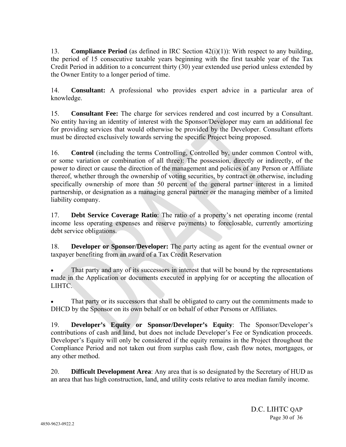13. **Compliance Period** (as defined in IRC Section 42(i)(1)): With respect to any building, the period of 15 consecutive taxable years beginning with the first taxable year of the Tax Credit Period in addition to a concurrent thirty (30) year extended use period unless extended by the Owner Entity to a longer period of time.

14. **Consultant:** A professional who provides expert advice in a particular area of knowledge.

15. **Consultant Fee:** The charge for services rendered and cost incurred by a Consultant. No entity having an identity of interest with the Sponsor/Developer may earn an additional fee for providing services that would otherwise be provided by the Developer. Consultant efforts must be directed exclusively towards serving the specific Project being proposed.

16. **Control** (including the terms Controlling, Controlled by, under common Control with, or some variation or combination of all three): The possession, directly or indirectly, of the power to direct or cause the direction of the management and policies of any Person or Affiliate thereof, whether through the ownership of voting securities, by contract or otherwise, including specifically ownership of more than 50 percent of the general partner interest in a limited partnership, or designation as a managing general partner or the managing member of a limited liability company.

17. **Debt Service Coverage Ratio**: The ratio of a property's net operating income (rental income less operating expenses and reserve payments) to foreclosable, currently amortizing debt service obligations.

18. **Developer or Sponsor/Developer:** The party acting as agent for the eventual owner or taxpayer benefiting from an award of a Tax Credit Reservation

 That party and any of its successors in interest that will be bound by the representations made in the Application or documents executed in applying for or accepting the allocation of LIHTC.

 That party or its successors that shall be obligated to carry out the commitments made to DHCD by the Sponsor on its own behalf or on behalf of other Persons or Affiliates.

19. **Developer's Equity or Sponsor/Developer's Equity**: The Sponsor/Developer's contributions of cash and land, but does not include Developer's Fee or Syndication proceeds. Developer's Equity will only be considered if the equity remains in the Project throughout the Compliance Period and not taken out from surplus cash flow, cash flow notes, mortgages, or any other method.

20. **Difficult Development Area**: Any area that is so designated by the Secretary of HUD as an area that has high construction, land, and utility costs relative to area median family income.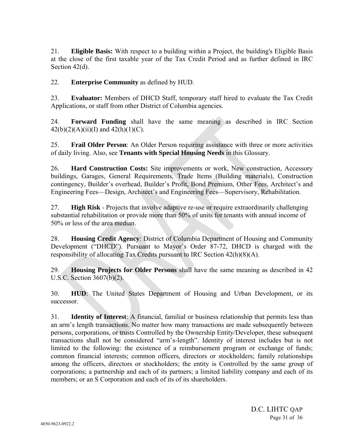21. **Eligible Basis:** With respect to a building within a Project, the building's Eligible Basis at the close of the first taxable year of the Tax Credit Period and as further defined in IRC Section 42(d).

22. **Enterprise Community** as defined by HUD.

23. **Evaluator:** Members of DHCD Staff, temporary staff hired to evaluate the Tax Credit Applications, or staff from other District of Columbia agencies.

24. **Forward Funding** shall have the same meaning as described in IRC Section  $42(b)(2)(A)(ii)(I)$  and  $42(h)(1)(C)$ .

25. **Frail Older Person**: An Older Person requiring assistance with three or more activities of daily living. Also, see **Tenants with Special Housing Needs** in this Glossary.

26. **Hard Construction Costs:** Site improvements or work, New construction, Accessory buildings, Garages, General Requirements, Trade Items (Building materials), Construction contingency, Builder's overhead, Builder's Profit, Bond Premium, Other Fees, Architect's and Engineering Fees—Design, Architect's and Engineering Fees—Supervisory, Rehabilitation.

27. **High Risk** - Projects that involve adaptive re-use or require extraordinarily challenging substantial rehabilitation or provide more than 50% of units for tenants with annual income of 50% or less of the area median.

28. **Housing Credit Agency**: District of Columbia Department of Housing and Community Development ("DHCD"). Pursuant to Mayor's Order 87-72, DHCD is charged with the responsibility of allocating Tax Credits pursuant to IRC Section 42(h)(8)(A).

29. **Housing Projects for Older Persons** shall have the same meaning as described in 42 U.S.C. Section 3607(b)(2).

30. **HUD**: The United States Department of Housing and Urban Development, or its successor.

31. **Identity of Interest**: A financial, familial or business relationship that permits less than an arm's length transactions. No matter how many transactions are made subsequently between persons, corporations, or trusts Controlled by the Ownership Entity/Developer, these subsequent transactions shall not be considered "arm's-length". Identity of interest includes but is not limited to the following: the existence of a reimbursement program or exchange of funds; common financial interests; common officers, directors or stockholders; family relationships among the officers, directors or stockholders; the entity is Controlled by the same group of corporations; a partnership and each of its partners; a limited liability company and each of its members; or an S Corporation and each of its of its shareholders.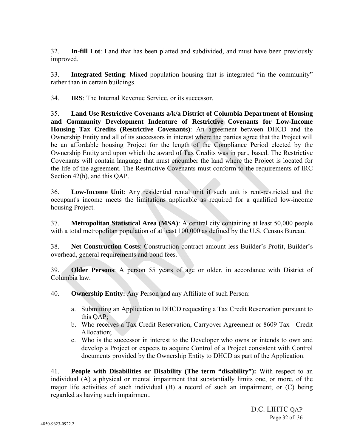32. **In-fill Lot**: Land that has been platted and subdivided, and must have been previously improved.

33. **Integrated Setting**: Mixed population housing that is integrated "in the community" rather than in certain buildings.

34. **IRS**: The Internal Revenue Service, or its successor.

35. **Land Use Restrictive Covenants a/k/a District of Columbia Department of Housing and Community Development Indenture of Restrictive Covenants for Low-Income Housing Tax Credits (Restrictive Covenants)**: An agreement between DHCD and the Ownership Entity and all of its successors in interest where the parties agree that the Project will be an affordable housing Project for the length of the Compliance Period elected by the Ownership Entity and upon which the award of Tax Credits was in part, based. The Restrictive Covenants will contain language that must encumber the land where the Project is located for the life of the agreement. The Restrictive Covenants must conform to the requirements of IRC Section 42(h), and this QAP.

36. **Low-Income Unit**: Any residential rental unit if such unit is rent-restricted and the occupant's income meets the limitations applicable as required for a qualified low-income housing Project.

37. **Metropolitan Statistical Area (MSA)**: A central city containing at least 50,000 people with a total metropolitan population of at least 100,000 as defined by the U.S. Census Bureau.

38. **Net Construction Costs**: Construction contract amount less Builder's Profit, Builder's overhead, general requirements and bond fees.

39. **Older Persons**: A person 55 years of age or older, in accordance with District of Columbia law.

40. **Ownership Entity:** Any Person and any Affiliate of such Person:

- a. Submitting an Application to DHCD requesting a Tax Credit Reservation pursuant to this QAP;
- b. Who receives a Tax Credit Reservation, Carryover Agreement or 8609 Tax Credit Allocation;
- c. Who is the successor in interest to the Developer who owns or intends to own and develop a Project or expects to acquire Control of a Project consistent with Control documents provided by the Ownership Entity to DHCD as part of the Application.

41. **People with Disabilities or Disability (The term "disability"):** With respect to an individual (A) a physical or mental impairment that substantially limits one, or more, of the major life activities of such individual (B) a record of such an impairment; or (C) being regarded as having such impairment.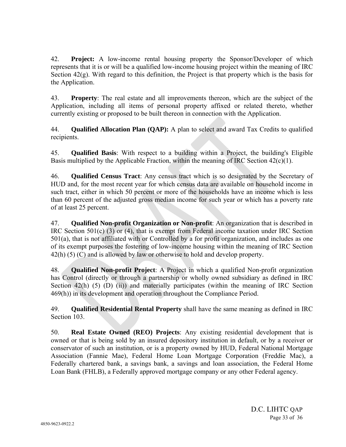42. **Project:** A low-income rental housing property the Sponsor/Developer of which represents that it is or will be a qualified low-income housing project within the meaning of IRC Section 42(g). With regard to this definition, the Project is that property which is the basis for the Application.

43. **Property**: The real estate and all improvements thereon, which are the subject of the Application, including all items of personal property affixed or related thereto, whether currently existing or proposed to be built thereon in connection with the Application.

44. **Qualified Allocation Plan (QAP):** A plan to select and award Tax Credits to qualified recipients.

45. **Qualified Basis**: With respect to a building within a Project, the building's Eligible Basis multiplied by the Applicable Fraction, within the meaning of IRC Section  $42(c)(1)$ .

46. **Qualified Census Tract**: Any census tract which is so designated by the Secretary of HUD and, for the most recent year for which census data are available on household income in such tract, either in which 50 percent or more of the households have an income which is less than 60 percent of the adjusted gross median income for such year or which has a poverty rate of at least 25 percent.

47. **Qualified Non-profit Organization or Non-profit**: An organization that is described in IRC Section 501(c) (3) or (4), that is exempt from Federal income taxation under IRC Section 501(a), that is not affiliated with or Controlled by a for profit organization, and includes as one of its exempt purposes the fostering of low-income housing within the meaning of IRC Section 42(h) (5) (C) and is allowed by law or otherwise to hold and develop property.

48. **Qualified Non-profit Project**: A Project in which a qualified Non-profit organization has Control (directly or through a partnership or wholly owned subsidiary as defined in IRC Section 42(h) (5) (D) (ii)) and materially participates (within the meaning of IRC Section 469(h)) in its development and operation throughout the Compliance Period.

49. **Qualified Residential Rental Property** shall have the same meaning as defined in IRC Section 103.

50. **Real Estate Owned (REO) Projects**: Any existing residential development that is owned or that is being sold by an insured depository institution in default, or by a receiver or conservator of such an institution, or is a property owned by HUD, Federal National Mortgage Association (Fannie Mae), Federal Home Loan Mortgage Corporation (Freddie Mac), a Federally chartered bank, a savings bank, a savings and loan association, the Federal Home Loan Bank (FHLB), a Federally approved mortgage company or any other Federal agency.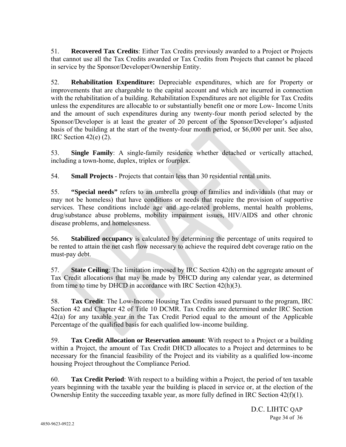51. **Recovered Tax Credits**: Either Tax Credits previously awarded to a Project or Projects that cannot use all the Tax Credits awarded or Tax Credits from Projects that cannot be placed in service by the Sponsor/Developer/Ownership Entity.

52. **Rehabilitation Expenditure:** Depreciable expenditures, which are for Property or improvements that are chargeable to the capital account and which are incurred in connection with the rehabilitation of a building. Rehabilitation Expenditures are not eligible for Tax Credits unless the expenditures are allocable to or substantially benefit one or more Low- Income Units and the amount of such expenditures during any twenty-four month period selected by the Sponsor/Developer is at least the greater of 20 percent of the Sponsor/Developer's adjusted basis of the building at the start of the twenty-four month period, or \$6,000 per unit. See also, IRC Section  $42(e)$  (2).

53. **Single Family**: A single-family residence whether detached or vertically attached, including a town-home, duplex, triplex or fourplex.

54. **Small Projects** - Projects that contain less than 30 residential rental units.

55. **"Special needs"** refers to an umbrella group of families and individuals (that may or may not be homeless) that have conditions or needs that require the provision of supportive services. These conditions include age and age-related problems, mental health problems, drug/substance abuse problems, mobility impairment issues, HIV/AIDS and other chronic disease problems, and homelessness.

56. **Stabilized occupancy** is calculated by determining the percentage of units required to be rented to attain the net cash flow necessary to achieve the required debt coverage ratio on the must-pay debt.

57. **State Ceiling**: The limitation imposed by IRC Section 42(h) on the aggregate amount of Tax Credit allocations that may be made by DHCD during any calendar year, as determined from time to time by DHCD in accordance with IRC Section 42(h)(3).

58. **Tax Credit**: The Low-Income Housing Tax Credits issued pursuant to the program, IRC Section 42 and Chapter 42 of Title 10 DCMR. Tax Credits are determined under IRC Section 42(a) for any taxable year in the Tax Credit Period equal to the amount of the Applicable Percentage of the qualified basis for each qualified low-income building.

59. **Tax Credit Allocation or Reservation amount**: With respect to a Project or a building within a Project, the amount of Tax Credit DHCD allocates to a Project and determines to be necessary for the financial feasibility of the Project and its viability as a qualified low-income housing Project throughout the Compliance Period.

60. **Tax Credit Period**: With respect to a building within a Project, the period of ten taxable years beginning with the taxable year the building is placed in service or, at the election of the Ownership Entity the succeeding taxable year, as more fully defined in IRC Section 42(f)(1).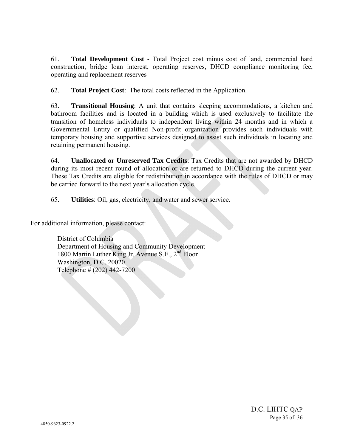61. **Total Development Cost** - Total Project cost minus cost of land, commercial hard construction, bridge loan interest, operating reserves, DHCD compliance monitoring fee, operating and replacement reserves

62. **Total Project Cost**: The total costs reflected in the Application.

63. **Transitional Housing**: A unit that contains sleeping accommodations, a kitchen and bathroom facilities and is located in a building which is used exclusively to facilitate the transition of homeless individuals to independent living within 24 months and in which a Governmental Entity or qualified Non-profit organization provides such individuals with temporary housing and supportive services designed to assist such individuals in locating and retaining permanent housing.

64. **Unallocated or Unreserved Tax Credits**: Tax Credits that are not awarded by DHCD during its most recent round of allocation or are returned to DHCD during the current year. These Tax Credits are eligible for redistribution in accordance with the rules of DHCD or may be carried forward to the next year's allocation cycle.

65. **Utilities**: Oil, gas, electricity, and water and sewer service.

For additional information, please contact:

District of Columbia Department of Housing and Community Development 1800 Martin Luther King Jr. Avenue S.E.,  $2^{nd}$  Floor Washington, D.C. 20020 Telephone # (202) 442-7200